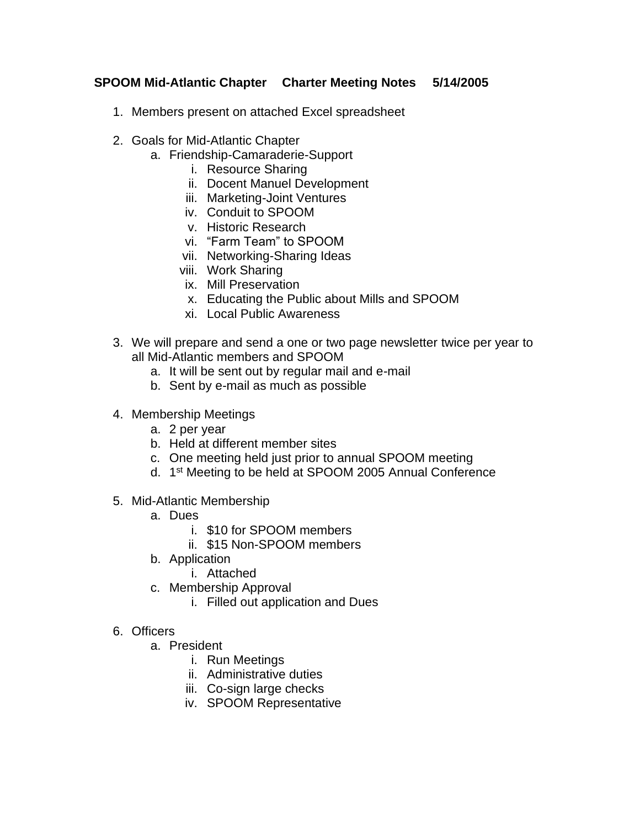#### **SPOOM Mid-Atlantic Chapter Charter Meeting Notes 5/14/2005**

- 1. Members present on attached Excel spreadsheet
- 2. Goals for Mid-Atlantic Chapter
	- a. Friendship-Camaraderie-Support
		- i. Resource Sharing
		- ii. Docent Manuel Development
		- iii. Marketing-Joint Ventures
		- iv. Conduit to SPOOM
		- v. Historic Research
		- vi. "Farm Team" to SPOOM
		- vii. Networking-Sharing Ideas
		- viii. Work Sharing
		- ix. Mill Preservation
		- x. Educating the Public about Mills and SPOOM
		- xi. Local Public Awareness
- 3. We will prepare and send a one or two page newsletter twice per year to all Mid-Atlantic members and SPOOM
	- a. It will be sent out by regular mail and e-mail
	- b. Sent by e-mail as much as possible
- 4. Membership Meetings
	- a. 2 per year
	- b. Held at different member sites
	- c. One meeting held just prior to annual SPOOM meeting
	- d. 1<sup>st</sup> Meeting to be held at SPOOM 2005 Annual Conference
- 5. Mid-Atlantic Membership
	- a. Dues
		- i. \$10 for SPOOM members
		- ii. \$15 Non-SPOOM members
	- b. Application
		- i. Attached
	- c. Membership Approval
		- i. Filled out application and Dues
- 6. Officers
	- a. President
		- i. Run Meetings
		- ii. Administrative duties
		- iii. Co-sign large checks
		- iv. SPOOM Representative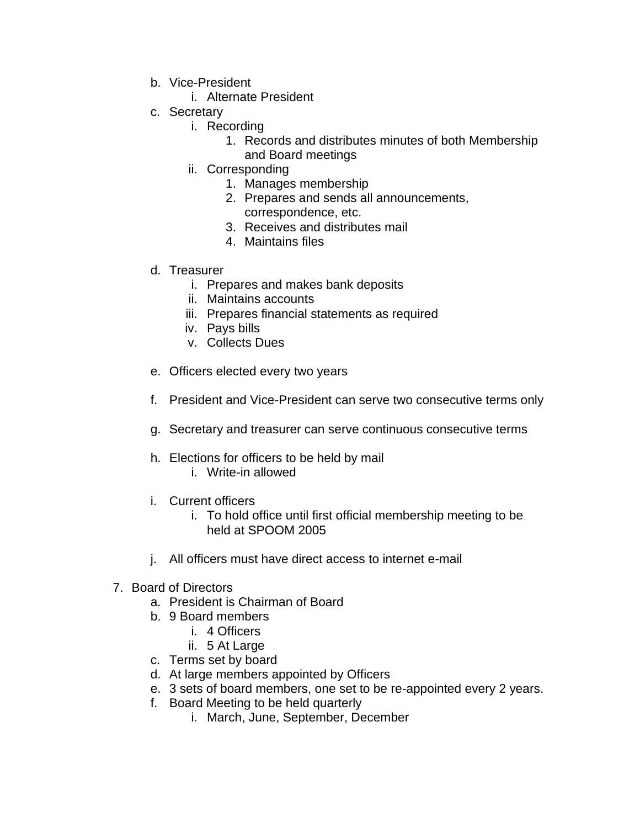- b. Vice-President
	- i. Alternate President
- c. Secretary
	- i. Recording
		- 1. Records and distributes minutes of both Membership and Board meetings
	- ii. Corresponding
		- 1. Manages membership
		- 2. Prepares and sends all announcements, correspondence, etc.
		- 3. Receives and distributes mail
		- 4. Maintains files
- d. Treasurer
	- i. Prepares and makes bank deposits
	- ii. Maintains accounts
	- iii. Prepares financial statements as required
	- iv. Pays bills
	- v. Collects Dues
- e. Officers elected every two years
- f. President and Vice-President can serve two consecutive terms only
- g. Secretary and treasurer can serve continuous consecutive terms
- h. Elections for officers to be held by mail
	- i. Write-in allowed
- i. Current officers
	- i. To hold office until first official membership meeting to be held at SPOOM 2005
- j. All officers must have direct access to internet e-mail
- 7. Board of Directors
	- a. President is Chairman of Board
	- b. 9 Board members
		- i. 4 Officers
		- ii. 5 At Large
	- c. Terms set by board
	- d. At large members appointed by Officers
	- e. 3 sets of board members, one set to be re-appointed every 2 years.
	- f. Board Meeting to be held quarterly
		- i. March, June, September, December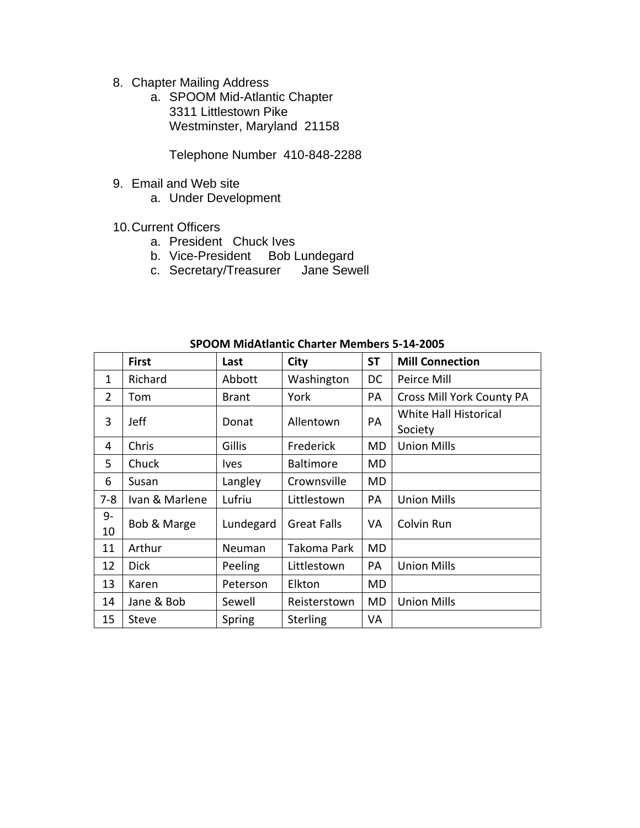- 8. Chapter Mailing Address
	- a. SPOOM Mid-Atlantic Chapter 3311 Littlestown Pike Westminster, Maryland 21158

Telephone Number 410-848-2288

- 9. Email and Web site
	- a. Under Development
- 10.Current Officers
	- a. President Chuck Ives
	- b. Vice-President Bob Lundegard
	- c. Secretary/Treasurer Jane Sewell

| כטטב-צב-כ כוסוווסומו בוומונכו ואוכווווסט ואוטט זכ |                |               |                    |           |                                  |
|---------------------------------------------------|----------------|---------------|--------------------|-----------|----------------------------------|
|                                                   | <b>First</b>   | Last          | City               | <b>ST</b> | <b>Mill Connection</b>           |
| 1                                                 | Richard        | Abbott        | Washington         | DC        | Peirce Mill                      |
| $\overline{2}$                                    | Tom            | <b>Brant</b>  | York               | PA        | Cross Mill York County PA        |
| 3                                                 | Jeff           | Donat         | Allentown          | PA        | White Hall Historical<br>Society |
| 4                                                 | Chris          | Gillis        | Frederick          | MD        | <b>Union Mills</b>               |
| 5                                                 | Chuck          | <i>lves</i>   | <b>Baltimore</b>   | MD        |                                  |
| 6                                                 | Susan          | Langley       | Crownsville        | MD        |                                  |
| $7 - 8$                                           | Ivan & Marlene | Lufriu        | Littlestown        | PA        | <b>Union Mills</b>               |
| 9-<br>10                                          | Bob & Marge    | Lundegard     | <b>Great Falls</b> | VA        | Colvin Run                       |
| 11                                                | Arthur         | <b>Neuman</b> | Takoma Park        | <b>MD</b> |                                  |
| 12                                                | <b>Dick</b>    | Peeling       | Littlestown        | PA        | <b>Union Mills</b>               |
| 13                                                | Karen          | Peterson      | Elkton             | MD        |                                  |
| 14                                                | Jane & Bob     | Sewell        | Reisterstown       | MD        | <b>Union Mills</b>               |
| 15                                                | <b>Steve</b>   | Spring        | <b>Sterling</b>    | VA        |                                  |

**SPOOM MidAtlantic Charter Members 5-14-2005**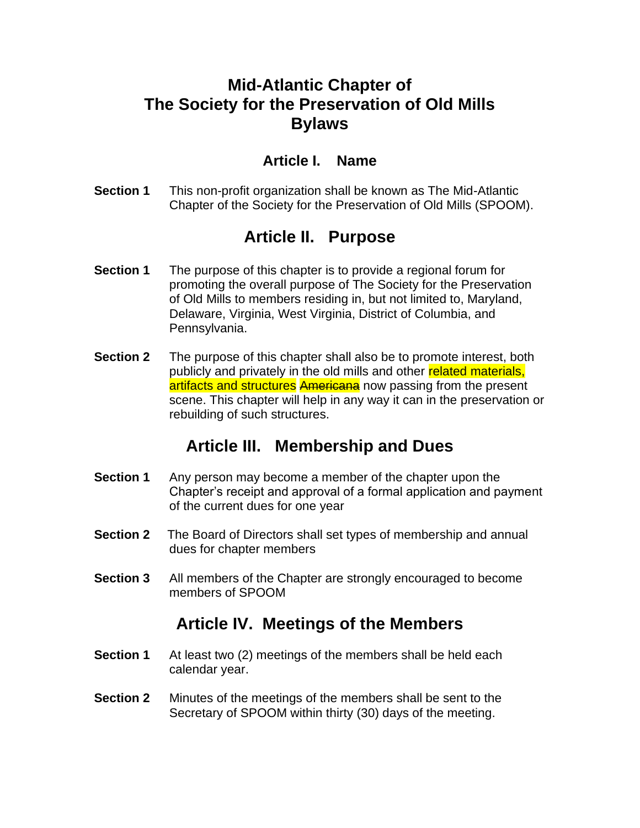## **Mid-Atlantic Chapter of The Society for the Preservation of Old Mills Bylaws**

#### **Article I. Name**

**Section 1** This non-profit organization shall be known as The Mid-Atlantic Chapter of the Society for the Preservation of Old Mills (SPOOM).

## **Article II. Purpose**

- **Section 1** The purpose of this chapter is to provide a regional forum for promoting the overall purpose of The Society for the Preservation of Old Mills to members residing in, but not limited to, Maryland, Delaware, Virginia, West Virginia, District of Columbia, and Pennsylvania.
- **Section 2** The purpose of this chapter shall also be to promote interest, both publicly and privately in the old mills and other related materials, artifacts and structures Americana now passing from the present scene. This chapter will help in any way it can in the preservation or rebuilding of such structures.

## **Article III. Membership and Dues**

- **Section 1** Any person may become a member of the chapter upon the Chapter's receipt and approval of a formal application and payment of the current dues for one year
- **Section 2** The Board of Directors shall set types of membership and annual dues for chapter members
- **Section 3** All members of the Chapter are strongly encouraged to become members of SPOOM

#### **Article IV. Meetings of the Members**

- **Section 1** At least two (2) meetings of the members shall be held each calendar year.
- **Section 2** Minutes of the meetings of the members shall be sent to the Secretary of SPOOM within thirty (30) days of the meeting.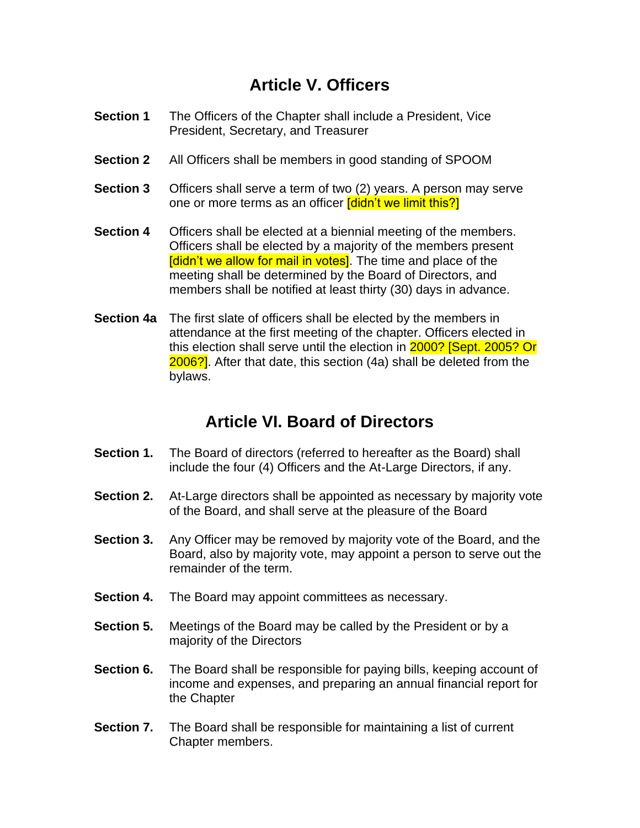## **Article V. Officers**

- **Section 1** The Officers of the Chapter shall include a President, Vice President, Secretary, and Treasurer
- **Section 2** All Officers shall be members in good standing of SPOOM
- **Section 3** Officers shall serve a term of two (2) years. A person may serve one or more terms as an officer [didn't we limit this?]
- **Section 4** Officers shall be elected at a biennial meeting of the members. Officers shall be elected by a majority of the members present [didn't we allow for mail in votes]. The time and place of the meeting shall be determined by the Board of Directors, and members shall be notified at least thirty (30) days in advance.
- **Section 4a** The first slate of officers shall be elected by the members in attendance at the first meeting of the chapter. Officers elected in this election shall serve until the election in 2000? [Sept. 2005? Or 2006?]. After that date, this section (4a) shall be deleted from the bylaws.

## **Article VI. Board of Directors**

- **Section 1.** The Board of directors (referred to hereafter as the Board) shall include the four (4) Officers and the At-Large Directors, if any.
- **Section 2.** At-Large directors shall be appointed as necessary by majority vote of the Board, and shall serve at the pleasure of the Board
- **Section 3.** Any Officer may be removed by majority vote of the Board, and the Board, also by majority vote, may appoint a person to serve out the remainder of the term.
- **Section 4.** The Board may appoint committees as necessary.
- **Section 5.** Meetings of the Board may be called by the President or by a majority of the Directors
- **Section 6.** The Board shall be responsible for paying bills, keeping account of income and expenses, and preparing an annual financial report for the Chapter
- **Section 7.** The Board shall be responsible for maintaining a list of current Chapter members.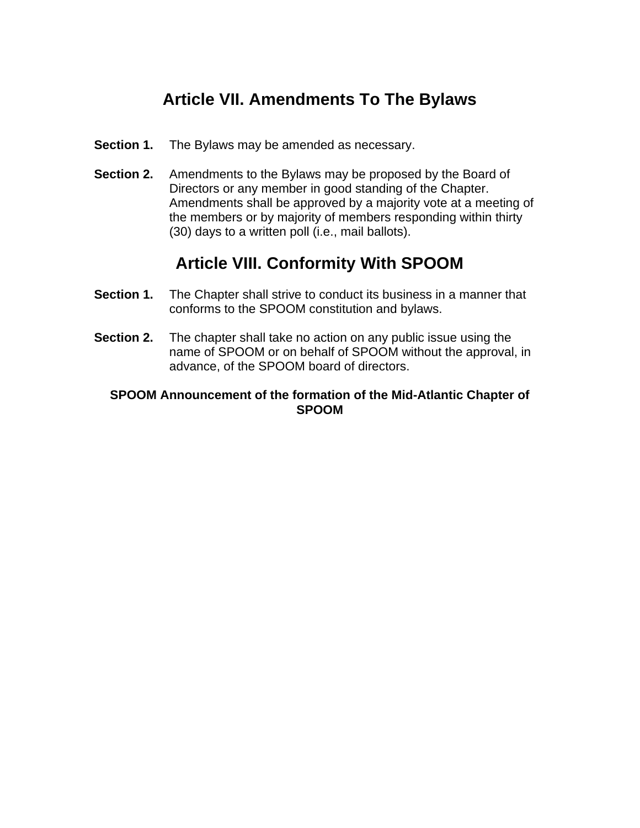# **Article VII. Amendments To The Bylaws**

- **Section 1.** The Bylaws may be amended as necessary.
- **Section 2.** Amendments to the Bylaws may be proposed by the Board of Directors or any member in good standing of the Chapter. Amendments shall be approved by a majority vote at a meeting of the members or by majority of members responding within thirty (30) days to a written poll (i.e., mail ballots).

## **Article VIII. Conformity With SPOOM**

- **Section 1.** The Chapter shall strive to conduct its business in a manner that conforms to the SPOOM constitution and bylaws.
- **Section 2.** The chapter shall take no action on any public issue using the name of SPOOM or on behalf of SPOOM without the approval, in advance, of the SPOOM board of directors.

#### **SPOOM Announcement of the formation of the Mid-Atlantic Chapter of SPOOM**